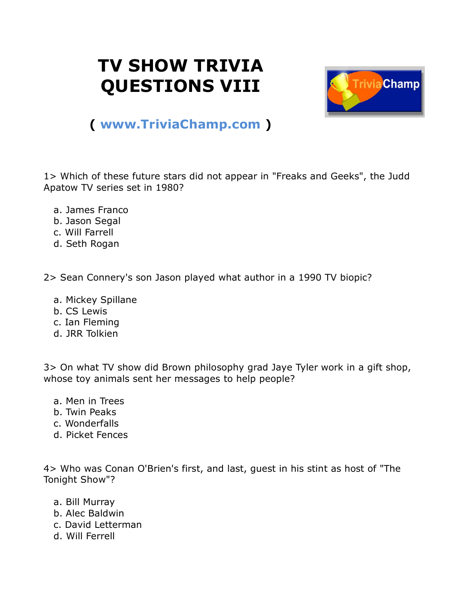## **TV SHOW TRIVIA QUESTIONS VIII**



## **( [www.TriviaChamp.com](http://www.triviachamp.com/) )**

1> Which of these future stars did not appear in "Freaks and Geeks", the Judd Apatow TV series set in 1980?

- a. James Franco
- b. Jason Segal
- c. Will Farrell
- d. Seth Rogan

2> Sean Connery's son Jason played what author in a 1990 TV biopic?

- a. Mickey Spillane
- b. CS Lewis
- c. Ian Fleming
- d. JRR Tolkien

3> On what TV show did Brown philosophy grad Jaye Tyler work in a gift shop, whose toy animals sent her messages to help people?

- a. Men in Trees
- b. Twin Peaks
- c. Wonderfalls
- d. Picket Fences

4> Who was Conan O'Brien's first, and last, guest in his stint as host of "The Tonight Show"?

- a. Bill Murray
- b. Alec Baldwin
- c. David Letterman
- d. Will Ferrell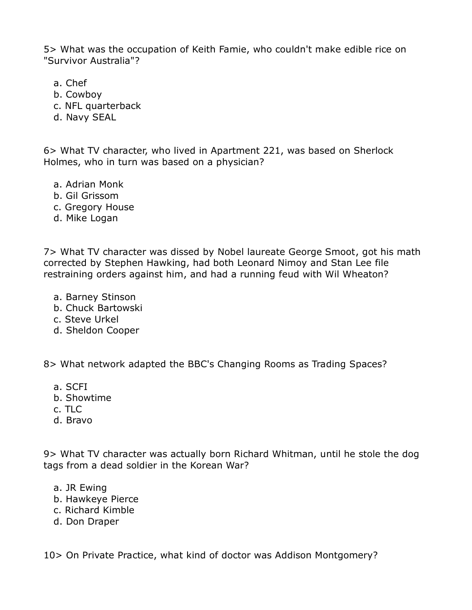5> What was the occupation of Keith Famie, who couldn't make edible rice on "Survivor Australia"?

- a. Chef
- b. Cowboy
- c. NFL quarterback
- d. Navy SEAL

6> What TV character, who lived in Apartment 221, was based on Sherlock Holmes, who in turn was based on a physician?

- a. Adrian Monk
- b. Gil Grissom
- c. Gregory House
- d. Mike Logan

7> What TV character was dissed by Nobel laureate George Smoot, got his math corrected by Stephen Hawking, had both Leonard Nimoy and Stan Lee file restraining orders against him, and had a running feud with Wil Wheaton?

- a. Barney Stinson
- b. Chuck Bartowski
- c. Steve Urkel
- d. Sheldon Cooper

8> What network adapted the BBC's Changing Rooms as Trading Spaces?

- a. SCFI
- b. Showtime
- c. TLC
- d. Bravo

9> What TV character was actually born Richard Whitman, until he stole the dog tags from a dead soldier in the Korean War?

- a. JR Ewing
- b. Hawkeye Pierce
- c. Richard Kimble
- d. Don Draper

10> On Private Practice, what kind of doctor was Addison Montgomery?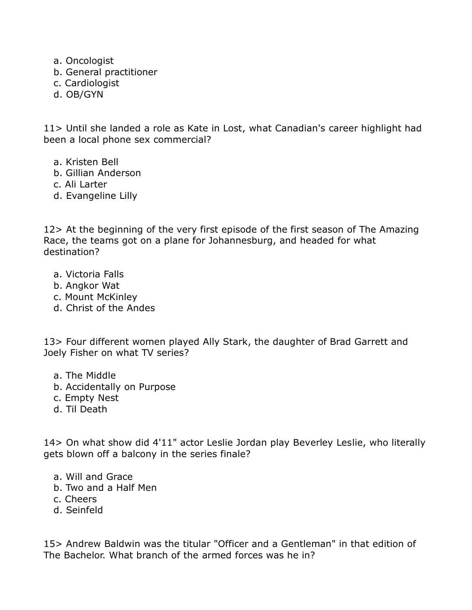- a. Oncologist
- b. General practitioner
- c. Cardiologist
- d. OB/GYN

11> Until she landed a role as Kate in Lost, what Canadian's career highlight had been a local phone sex commercial?

- a. Kristen Bell
- b. Gillian Anderson
- c. Ali Larter
- d. Evangeline Lilly

12> At the beginning of the very first episode of the first season of The Amazing Race, the teams got on a plane for Johannesburg, and headed for what destination?

- a. Victoria Falls
- b. Angkor Wat
- c. Mount McKinley
- d. Christ of the Andes

13> Four different women played Ally Stark, the daughter of Brad Garrett and Joely Fisher on what TV series?

- a. The Middle
- b. Accidentally on Purpose
- c. Empty Nest
- d. Til Death

14> On what show did 4'11" actor Leslie Jordan play Beverley Leslie, who literally gets blown off a balcony in the series finale?

- a. Will and Grace
- b. Two and a Half Men
- c. Cheers
- d. Seinfeld

15> Andrew Baldwin was the titular "Officer and a Gentleman" in that edition of The Bachelor. What branch of the armed forces was he in?